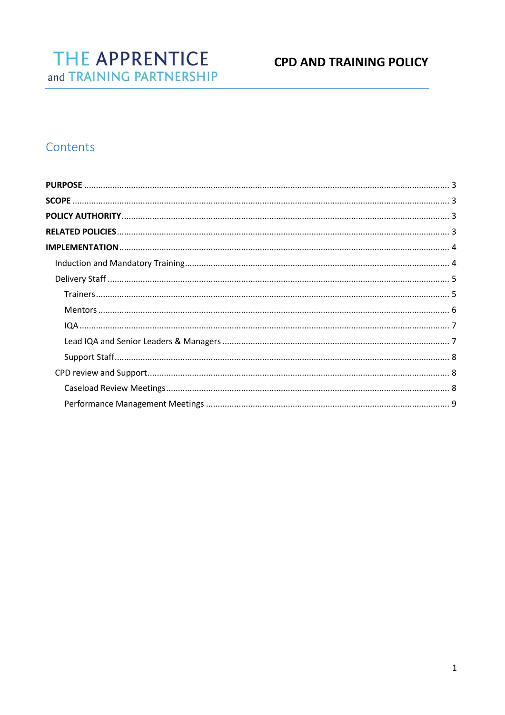# **CPD AND TRAINING POLICY**

# Contents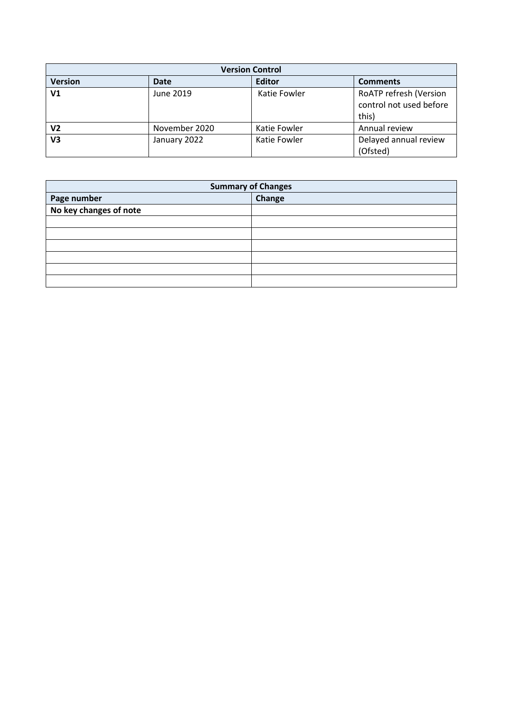| <b>Version Control</b> |               |               |                                                            |  |  |
|------------------------|---------------|---------------|------------------------------------------------------------|--|--|
| <b>Version</b>         | <b>Date</b>   | <b>Editor</b> | <b>Comments</b>                                            |  |  |
| V <sub>1</sub>         | June 2019     | Katie Fowler  | RoATP refresh (Version<br>control not used before<br>this) |  |  |
| V2                     | November 2020 | Katie Fowler  | Annual review                                              |  |  |
| V3                     | January 2022  | Katie Fowler  | Delayed annual review<br>(Ofsted)                          |  |  |

| <b>Summary of Changes</b> |        |  |  |
|---------------------------|--------|--|--|
| Page number               | Change |  |  |
| No key changes of note    |        |  |  |
|                           |        |  |  |
|                           |        |  |  |
|                           |        |  |  |
|                           |        |  |  |
|                           |        |  |  |
|                           |        |  |  |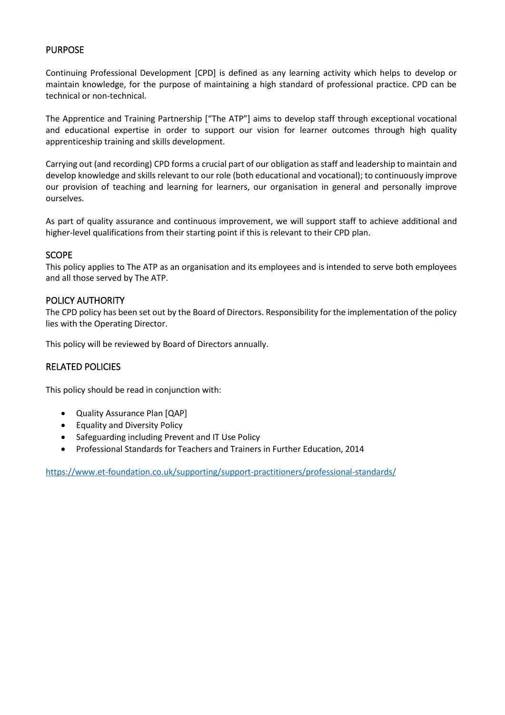# <span id="page-2-0"></span>PURPOSE

Continuing Professional Development [CPD] is defined as any learning activity which helps to develop or maintain knowledge, for the purpose of maintaining a high standard of professional practice. CPD can be technical or non-technical.

The Apprentice and Training Partnership ["The ATP"] aims to develop staff through exceptional vocational and educational expertise in order to support our vision for learner outcomes through high quality apprenticeship training and skills development.

Carrying out (and recording) CPD forms a crucial part of our obligation as staff and leadership to maintain and develop knowledge and skills relevant to our role (both educational and vocational); to continuously improve our provision of teaching and learning for learners, our organisation in general and personally improve ourselves.

As part of quality assurance and continuous improvement, we will support staff to achieve additional and higher-level qualifications from their starting point if this is relevant to their CPD plan.

#### <span id="page-2-1"></span>**SCOPE**

This policy applies to The ATP as an organisation and its employees and is intended to serve both employees and all those served by The ATP.

#### <span id="page-2-2"></span>POLICY AUTHORITY

The CPD policy has been set out by the Board of Directors. Responsibility for the implementation of the policy lies with the Operating Director.

This policy will be reviewed by Board of Directors annually.

#### <span id="page-2-3"></span>RELATED POLICIES

This policy should be read in conjunction with:

- Quality Assurance Plan [QAP]
- Equality and Diversity Policy
- Safeguarding including Prevent and IT Use Policy
- Professional Standards for Teachers and Trainers in Further Education, 2014

<https://www.et-foundation.co.uk/supporting/support-practitioners/professional-standards/>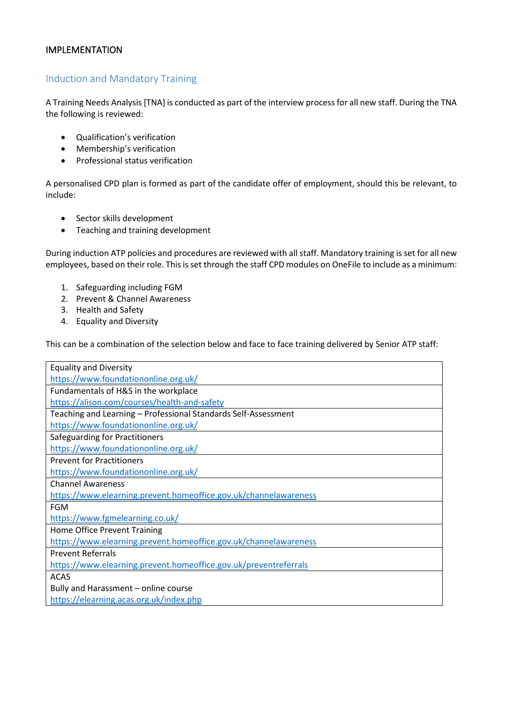### <span id="page-3-0"></span>IMPLEMENTATION

# <span id="page-3-1"></span>Induction and Mandatory Training

A Training Needs Analysis [TNA] is conducted as part of the interview process for all new staff. During the TNA the following is reviewed:

- Qualification's verification
- Membership's verification
- Professional status verification

A personalised CPD plan is formed as part of the candidate offer of employment, should this be relevant, to include:

- Sector skills development
- Teaching and training development

During induction ATP policies and procedures are reviewed with all staff. Mandatory training is set for all new employees, based on their role. This is set through the staff CPD modules on OneFile to include as a minimum:

- 1. Safeguarding including FGM
- 2. Prevent & Channel Awareness
- 3. Health and Safety
- 4. Equality and Diversity

This can be a combination of the selection below and face to face training delivered by Senior ATP staff:

| <b>Equality and Diversity</b>                                    |  |  |  |
|------------------------------------------------------------------|--|--|--|
| https://www.foundationonline.org.uk/                             |  |  |  |
| Fundamentals of H&S in the workplace                             |  |  |  |
| https://alison.com/courses/health-and-safety                     |  |  |  |
| Teaching and Learning - Professional Standards Self-Assessment   |  |  |  |
| https://www.foundationonline.org.uk/                             |  |  |  |
| Safeguarding for Practitioners                                   |  |  |  |
| https://www.foundationonline.org.uk/                             |  |  |  |
| <b>Prevent for Practitioners</b>                                 |  |  |  |
| https://www.foundationonline.org.uk/                             |  |  |  |
| <b>Channel Awareness</b>                                         |  |  |  |
| https://www.elearning.prevent.homeoffice.gov.uk/channelawareness |  |  |  |
| <b>FGM</b>                                                       |  |  |  |
| https://www.fgmelearning.co.uk/                                  |  |  |  |
| Home Office Prevent Training                                     |  |  |  |
| https://www.elearning.prevent.homeoffice.gov.uk/channelawareness |  |  |  |
| <b>Prevent Referrals</b>                                         |  |  |  |
| https://www.elearning.prevent.homeoffice.gov.uk/preventreferrals |  |  |  |
| <b>ACAS</b>                                                      |  |  |  |
| Bully and Harassment - online course                             |  |  |  |
| https://elearning.acas.org.uk/index.php                          |  |  |  |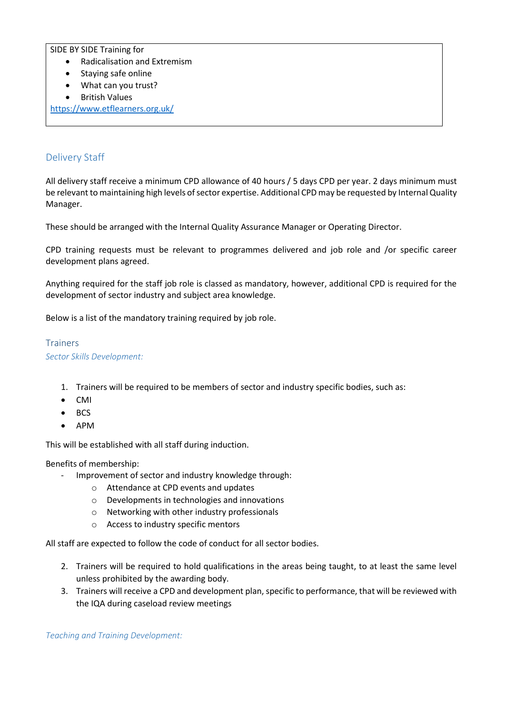SIDE BY SIDE Training for

- Radicalisation and Extremism
- Staying safe online
- What can you trust?
- British Values

<https://www.etflearners.org.uk/>

# <span id="page-4-0"></span>Delivery Staff

All delivery staff receive a minimum CPD allowance of 40 hours / 5 days CPD per year. 2 days minimum must be relevant to maintaining high levels of sector expertise. Additional CPD may be requested by Internal Quality Manager.

These should be arranged with the Internal Quality Assurance Manager or Operating Director.

CPD training requests must be relevant to programmes delivered and job role and /or specific career development plans agreed.

Anything required for the staff job role is classed as mandatory, however, additional CPD is required for the development of sector industry and subject area knowledge.

Below is a list of the mandatory training required by job role.

# <span id="page-4-1"></span>**Trainers**

*Sector Skills Development:* 

- 1. Trainers will be required to be members of sector and industry specific bodies, such as:
- CMI
- BCS
- APM

This will be established with all staff during induction.

Benefits of membership:

- Improvement of sector and industry knowledge through:
	- o Attendance at CPD events and updates
	- o Developments in technologies and innovations
	- o Networking with other industry professionals
	- o Access to industry specific mentors

All staff are expected to follow the code of conduct for all sector bodies.

- 2. Trainers will be required to hold qualifications in the areas being taught, to at least the same level unless prohibited by the awarding body.
- 3. Trainers will receive a CPD and development plan, specific to performance, that will be reviewed with the IQA during caseload review meetings

*Teaching and Training Development:*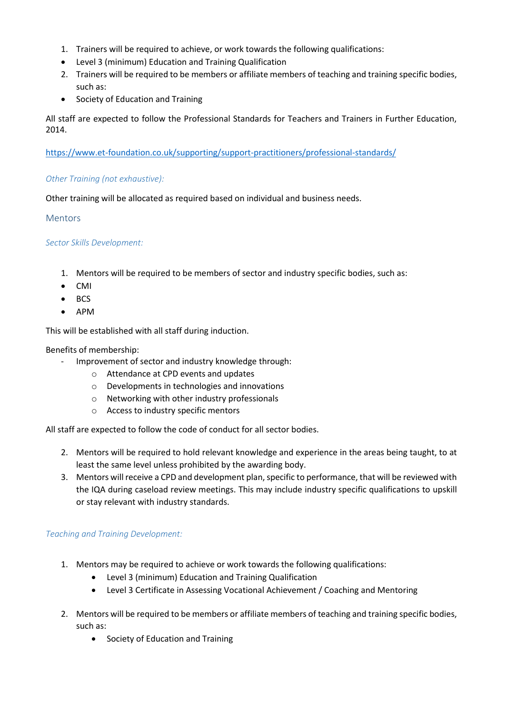- 1. Trainers will be required to achieve, or work towards the following qualifications:
- Level 3 (minimum) Education and Training Qualification
- 2. Trainers will be required to be members or affiliate members of teaching and training specific bodies, such as:
- Society of Education and Training

All staff are expected to follow the Professional Standards for Teachers and Trainers in Further Education, 2014.

<https://www.et-foundation.co.uk/supporting/support-practitioners/professional-standards/>

# *Other Training (not exhaustive):*

Other training will be allocated as required based on individual and business needs.

# <span id="page-5-0"></span>Mentors

# *Sector Skills Development:*

- 1. Mentors will be required to be members of sector and industry specific bodies, such as:
- CMI
- BCS
- APM

This will be established with all staff during induction.

#### Benefits of membership:

- Improvement of sector and industry knowledge through:
	- o Attendance at CPD events and updates
	- o Developments in technologies and innovations
	- o Networking with other industry professionals
	- o Access to industry specific mentors

All staff are expected to follow the code of conduct for all sector bodies.

- 2. Mentors will be required to hold relevant knowledge and experience in the areas being taught, to at least the same level unless prohibited by the awarding body.
- 3. Mentors will receive a CPD and development plan, specific to performance, that will be reviewed with the IQA during caseload review meetings. This may include industry specific qualifications to upskill or stay relevant with industry standards.

#### *Teaching and Training Development:*

- 1. Mentors may be required to achieve or work towards the following qualifications:
	- Level 3 (minimum) Education and Training Qualification
	- Level 3 Certificate in Assessing Vocational Achievement / Coaching and Mentoring
- 2. Mentors will be required to be members or affiliate members of teaching and training specific bodies, such as:
	- Society of Education and Training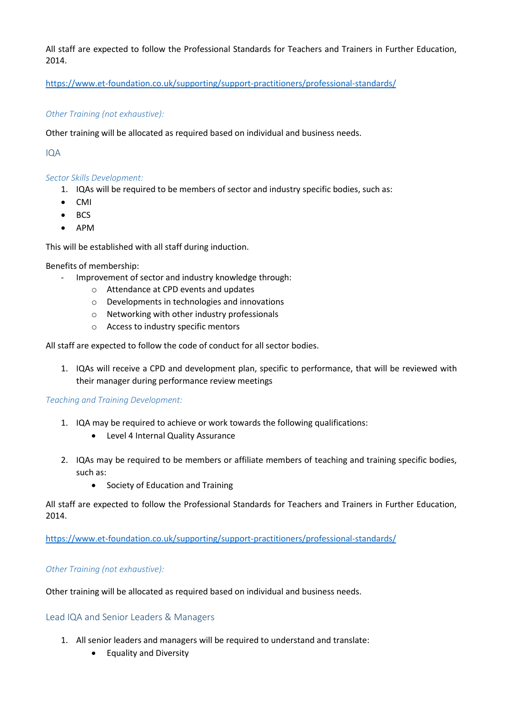All staff are expected to follow the Professional Standards for Teachers and Trainers in Further Education, 2014.

<https://www.et-foundation.co.uk/supporting/support-practitioners/professional-standards/>

# *Other Training (not exhaustive):*

Other training will be allocated as required based on individual and business needs.

<span id="page-6-0"></span>IQA

#### *Sector Skills Development:*

- 1. IQAs will be required to be members of sector and industry specific bodies, such as:
- CMI
- BCS
- APM

This will be established with all staff during induction.

Benefits of membership:

- Improvement of sector and industry knowledge through:
	- o Attendance at CPD events and updates
	- o Developments in technologies and innovations
	- o Networking with other industry professionals
	- o Access to industry specific mentors

All staff are expected to follow the code of conduct for all sector bodies.

1. IQAs will receive a CPD and development plan, specific to performance, that will be reviewed with their manager during performance review meetings

#### *Teaching and Training Development:*

- 1. IQA may be required to achieve or work towards the following qualifications:
	- Level 4 Internal Quality Assurance
- 2. IQAs may be required to be members or affiliate members of teaching and training specific bodies, such as:
	- Society of Education and Training

All staff are expected to follow the Professional Standards for Teachers and Trainers in Further Education, 2014.

<https://www.et-foundation.co.uk/supporting/support-practitioners/professional-standards/>

#### *Other Training (not exhaustive):*

Other training will be allocated as required based on individual and business needs.

<span id="page-6-1"></span>Lead IQA and Senior Leaders & Managers

- 1. All senior leaders and managers will be required to understand and translate:
	- Equality and Diversity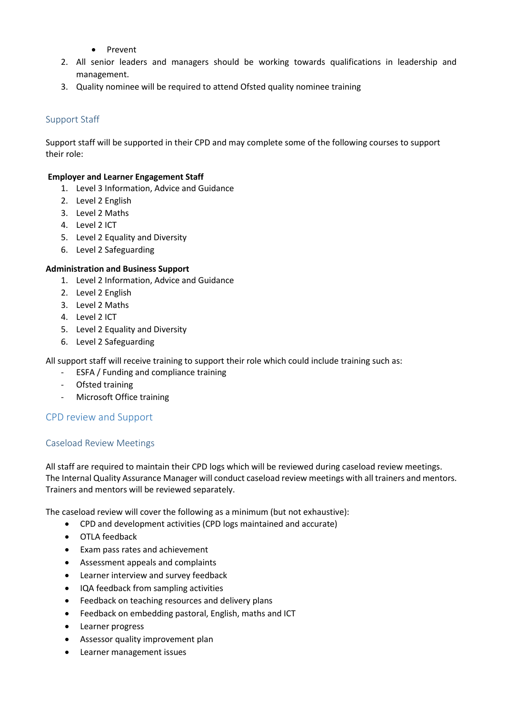- Prevent
- 2. All senior leaders and managers should be working towards qualifications in leadership and management.
- 3. Quality nominee will be required to attend Ofsted quality nominee training

# <span id="page-7-0"></span>Support Staff

Support staff will be supported in their CPD and may complete some of the following courses to support their role:

#### **Employer and Learner Engagement Staff**

- 1. Level 3 Information, Advice and Guidance
- 2. Level 2 English
- 3. Level 2 Maths
- 4. Level 2 ICT
- 5. Level 2 Equality and Diversity
- 6. Level 2 Safeguarding

# **Administration and Business Support**

- 1. Level 2 Information, Advice and Guidance
- 2. Level 2 English
- 3. Level 2 Maths
- 4. Level 2 ICT
- 5. Level 2 Equality and Diversity
- 6. Level 2 Safeguarding

All support staff will receive training to support their role which could include training such as:

- ESFA / Funding and compliance training
- Ofsted training
- Microsoft Office training

#### <span id="page-7-1"></span>CPD review and Support

#### <span id="page-7-2"></span>Caseload Review Meetings

All staff are required to maintain their CPD logs which will be reviewed during caseload review meetings. The Internal Quality Assurance Manager will conduct caseload review meetings with all trainers and mentors. Trainers and mentors will be reviewed separately.

The caseload review will cover the following as a minimum (but not exhaustive):

- CPD and development activities (CPD logs maintained and accurate)
- OTLA feedback
- Exam pass rates and achievement
- Assessment appeals and complaints
- Learner interview and survey feedback
- IQA feedback from sampling activities
- Feedback on teaching resources and delivery plans
- Feedback on embedding pastoral, English, maths and ICT
- Learner progress
- Assessor quality improvement plan
- Learner management issues